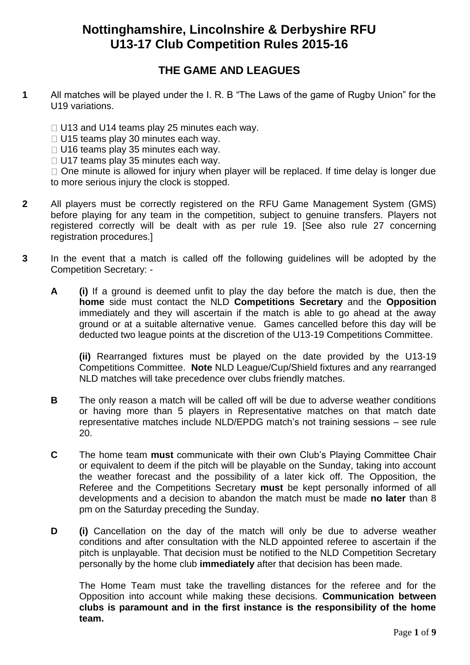# **Nottinghamshire, Lincolnshire & Derbyshire RFU U13-17 Club Competition Rules 2015-16**

# **THE GAME AND LEAGUES**

- **1** All matches will be played under the I. R. B "The Laws of the game of Rugby Union" for the U19 variations.
	- $\Box$  U13 and U14 teams play 25 minutes each way.
	- $\Box$  U15 teams play 30 minutes each way.
	- $\Box$  U16 teams play 35 minutes each way.
	- $\Box$  U17 teams play 35 minutes each way.

 $\Box$  One minute is allowed for injury when player will be replaced. If time delay is longer due to more serious injury the clock is stopped.

- **2** All players must be correctly registered on the RFU Game Management System (GMS) before playing for any team in the competition, subject to genuine transfers. Players not registered correctly will be dealt with as per rule 19. [See also rule 27 concerning registration procedures.]
- **3** In the event that a match is called off the following guidelines will be adopted by the Competition Secretary: -
	- **A (i)** If a ground is deemed unfit to play the day before the match is due, then the **home** side must contact the NLD **Competitions Secretary** and the **Opposition** immediately and they will ascertain if the match is able to go ahead at the away ground or at a suitable alternative venue. Games cancelled before this day will be deducted two league points at the discretion of the U13-19 Competitions Committee.

**(ii)** Rearranged fixtures must be played on the date provided by the U13-19 Competitions Committee. **Note** NLD League/Cup/Shield fixtures and any rearranged NLD matches will take precedence over clubs friendly matches.

- **B** The only reason a match will be called off will be due to adverse weather conditions or having more than 5 players in Representative matches on that match date representative matches include NLD/EPDG match's not training sessions – see rule 20.
- **C** The home team **must** communicate with their own Club's Playing Committee Chair or equivalent to deem if the pitch will be playable on the Sunday, taking into account the weather forecast and the possibility of a later kick off. The Opposition, the Referee and the Competitions Secretary **must** be kept personally informed of all developments and a decision to abandon the match must be made **no later** than 8 pm on the Saturday preceding the Sunday.
- **D (i)** Cancellation on the day of the match will only be due to adverse weather conditions and after consultation with the NLD appointed referee to ascertain if the pitch is unplayable. That decision must be notified to the NLD Competition Secretary personally by the home club **immediately** after that decision has been made.

The Home Team must take the travelling distances for the referee and for the Opposition into account while making these decisions. **Communication between clubs is paramount and in the first instance is the responsibility of the home team.**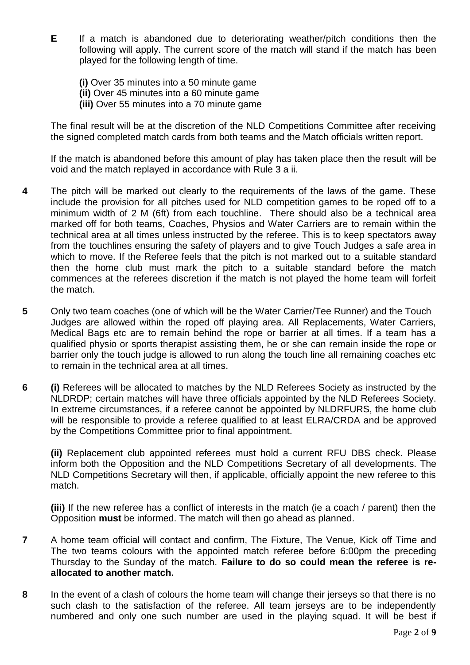**E** If a match is abandoned due to deteriorating weather/pitch conditions then the following will apply. The current score of the match will stand if the match has been played for the following length of time.

**(i)** Over 35 minutes into a 50 minute game **(ii)** Over 45 minutes into a 60 minute game **(iii)** Over 55 minutes into a 70 minute game

The final result will be at the discretion of the NLD Competitions Committee after receiving the signed completed match cards from both teams and the Match officials written report.

If the match is abandoned before this amount of play has taken place then the result will be void and the match replayed in accordance with Rule 3 a ii.

- **4** The pitch will be marked out clearly to the requirements of the laws of the game. These include the provision for all pitches used for NLD competition games to be roped off to a minimum width of 2 M (6ft) from each touchline. There should also be a technical area marked off for both teams, Coaches, Physios and Water Carriers are to remain within the technical area at all times unless instructed by the referee. This is to keep spectators away from the touchlines ensuring the safety of players and to give Touch Judges a safe area in which to move. If the Referee feels that the pitch is not marked out to a suitable standard then the home club must mark the pitch to a suitable standard before the match commences at the referees discretion if the match is not played the home team will forfeit the match.
- **5** Only two team coaches (one of which will be the Water Carrier/Tee Runner) and the Touch Judges are allowed within the roped off playing area. All Replacements, Water Carriers, Medical Bags etc are to remain behind the rope or barrier at all times. If a team has a qualified physio or sports therapist assisting them, he or she can remain inside the rope or barrier only the touch judge is allowed to run along the touch line all remaining coaches etc to remain in the technical area at all times.
- **6 (i)** Referees will be allocated to matches by the NLD Referees Society as instructed by the NLDRDP; certain matches will have three officials appointed by the NLD Referees Society. In extreme circumstances, if a referee cannot be appointed by NLDRFURS, the home club will be responsible to provide a referee qualified to at least ELRA/CRDA and be approved by the Competitions Committee prior to final appointment.

**(ii)** Replacement club appointed referees must hold a current RFU DBS check. Please inform both the Opposition and the NLD Competitions Secretary of all developments. The NLD Competitions Secretary will then, if applicable, officially appoint the new referee to this match.

**(iii)** If the new referee has a conflict of interests in the match (ie a coach / parent) then the Opposition **must** be informed. The match will then go ahead as planned.

- **7** A home team official will contact and confirm, The Fixture, The Venue, Kick off Time and The two teams colours with the appointed match referee before 6:00pm the preceding Thursday to the Sunday of the match. **Failure to do so could mean the referee is reallocated to another match.**
- **8** In the event of a clash of colours the home team will change their jerseys so that there is no such clash to the satisfaction of the referee. All team jerseys are to be independently numbered and only one such number are used in the playing squad. It will be best if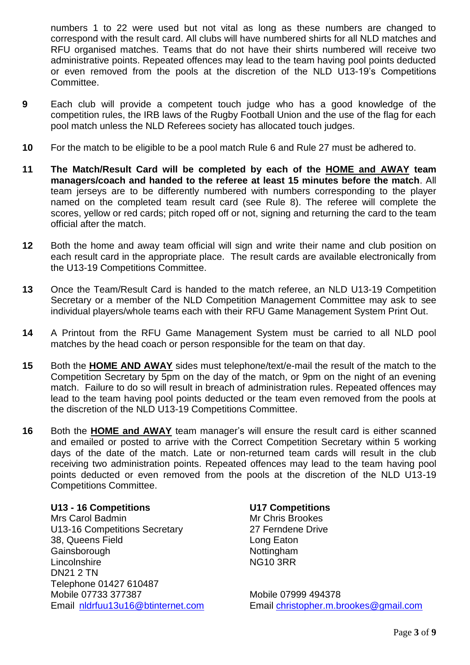numbers 1 to 22 were used but not vital as long as these numbers are changed to correspond with the result card. All clubs will have numbered shirts for all NLD matches and RFU organised matches. Teams that do not have their shirts numbered will receive two administrative points. Repeated offences may lead to the team having pool points deducted or even removed from the pools at the discretion of the NLD U13-19's Competitions Committee.

- **9** Each club will provide a competent touch judge who has a good knowledge of the competition rules, the IRB laws of the Rugby Football Union and the use of the flag for each pool match unless the NLD Referees society has allocated touch judges.
- **10** For the match to be eligible to be a pool match Rule 6 and Rule 27 must be adhered to.
- **11 The Match/Result Card will be completed by each of the HOME and AWAY team managers/coach and handed to the referee at least 15 minutes before the match**. All team jerseys are to be differently numbered with numbers corresponding to the player named on the completed team result card (see Rule 8). The referee will complete the scores, yellow or red cards; pitch roped off or not, signing and returning the card to the team official after the match.
- **12** Both the home and away team official will sign and write their name and club position on each result card in the appropriate place. The result cards are available electronically from the U13-19 Competitions Committee.
- **13** Once the Team/Result Card is handed to the match referee, an NLD U13-19 Competition Secretary or a member of the NLD Competition Management Committee may ask to see individual players/whole teams each with their RFU Game Management System Print Out.
- **14** A Printout from the RFU Game Management System must be carried to all NLD pool matches by the head coach or person responsible for the team on that day.
- **15** Both the **HOME AND AWAY** sides must telephone/text/e-mail the result of the match to the Competition Secretary by 5pm on the day of the match, or 9pm on the night of an evening match. Failure to do so will result in breach of administration rules. Repeated offences may lead to the team having pool points deducted or the team even removed from the pools at the discretion of the NLD U13-19 Competitions Committee.
- **16** Both the **HOME and AWAY** team manager's will ensure the result card is either scanned and emailed or posted to arrive with the Correct Competition Secretary within 5 working days of the date of the match. Late or non-returned team cards will result in the club receiving two administration points. Repeated offences may lead to the team having pool points deducted or even removed from the pools at the discretion of the NLD U13-19 Competitions Committee.

### **U13 - 16 Competitions U17 Competitions**

Mrs Carol Badmin Mrs Carol Badmin Mrs Chris Brookes U13-16 Competitions Secretary 27 Ferndene Drive 38, Queens Field Long Eaton Gainsborough **Nottingham** Nottingham Lincolnshire NG10 3RR DN21 2 TN Telephone 01427 610487 Mobile 07733 377387 Mobile 07999 494378

Email [nldrfuu13u16@btinternet.com](mailto:nldrfuu13u16@btinternet.com) Email [christopher.m.brookes@gmail.com](mailto:christopher.m.brookes@gmail.com)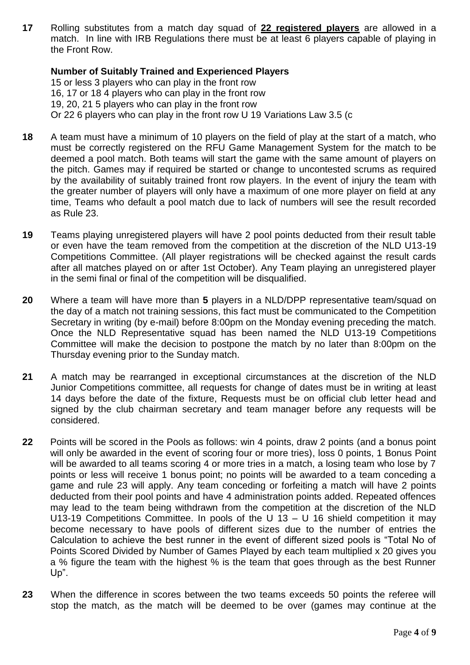**17** Rolling substitutes from a match day squad of **22 registered players** are allowed in a match. In line with IRB Regulations there must be at least 6 players capable of playing in the Front Row.

### **Number of Suitably Trained and Experienced Players**

15 or less 3 players who can play in the front row 16, 17 or 18 4 players who can play in the front row 19, 20, 21 5 players who can play in the front row Or 22 6 players who can play in the front row U 19 Variations Law 3.5 (c

- **18** A team must have a minimum of 10 players on the field of play at the start of a match, who must be correctly registered on the RFU Game Management System for the match to be deemed a pool match. Both teams will start the game with the same amount of players on the pitch. Games may if required be started or change to uncontested scrums as required by the availability of suitably trained front row players. In the event of injury the team with the greater number of players will only have a maximum of one more player on field at any time, Teams who default a pool match due to lack of numbers will see the result recorded as Rule 23.
- **19** Teams playing unregistered players will have 2 pool points deducted from their result table or even have the team removed from the competition at the discretion of the NLD U13-19 Competitions Committee. (All player registrations will be checked against the result cards after all matches played on or after 1st October). Any Team playing an unregistered player in the semi final or final of the competition will be disqualified.
- **20** Where a team will have more than **5** players in a NLD/DPP representative team/squad on the day of a match not training sessions, this fact must be communicated to the Competition Secretary in writing (by e-mail) before 8:00pm on the Monday evening preceding the match. Once the NLD Representative squad has been named the NLD U13-19 Competitions Committee will make the decision to postpone the match by no later than 8:00pm on the Thursday evening prior to the Sunday match.
- **21** A match may be rearranged in exceptional circumstances at the discretion of the NLD Junior Competitions committee, all requests for change of dates must be in writing at least 14 days before the date of the fixture, Requests must be on official club letter head and signed by the club chairman secretary and team manager before any requests will be considered.
- **22** Points will be scored in the Pools as follows: win 4 points, draw 2 points (and a bonus point will only be awarded in the event of scoring four or more tries), loss 0 points, 1 Bonus Point will be awarded to all teams scoring 4 or more tries in a match, a losing team who lose by 7 points or less will receive 1 bonus point; no points will be awarded to a team conceding a game and rule 23 will apply. Any team conceding or forfeiting a match will have 2 points deducted from their pool points and have 4 administration points added. Repeated offences may lead to the team being withdrawn from the competition at the discretion of the NLD U13-19 Competitions Committee. In pools of the U 13  $-$  U 16 shield competition it may become necessary to have pools of different sizes due to the number of entries the Calculation to achieve the best runner in the event of different sized pools is "Total No of Points Scored Divided by Number of Games Played by each team multiplied x 20 gives you a % figure the team with the highest % is the team that goes through as the best Runner Up".
- **23** When the difference in scores between the two teams exceeds 50 points the referee will stop the match, as the match will be deemed to be over (games may continue at the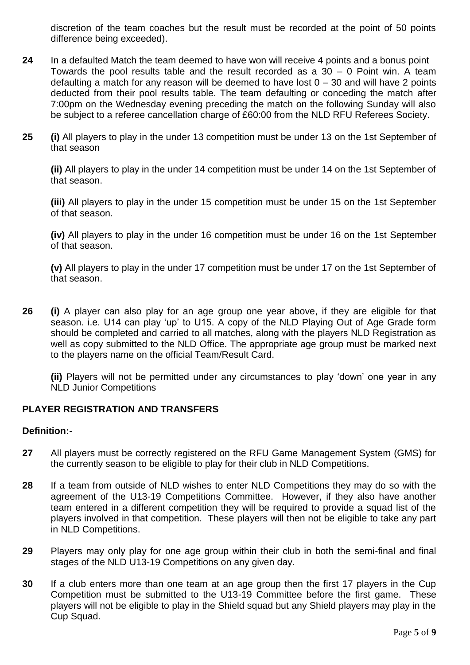discretion of the team coaches but the result must be recorded at the point of 50 points difference being exceeded).

- **24** In a defaulted Match the team deemed to have won will receive 4 points and a bonus point Towards the pool results table and the result recorded as a 30 – 0 Point win. A team defaulting a match for any reason will be deemed to have lost  $0 - 30$  and will have 2 points deducted from their pool results table. The team defaulting or conceding the match after 7:00pm on the Wednesday evening preceding the match on the following Sunday will also be subject to a referee cancellation charge of £60:00 from the NLD RFU Referees Society.
- **25 (i)** All players to play in the under 13 competition must be under 13 on the 1st September of that season

**(ii)** All players to play in the under 14 competition must be under 14 on the 1st September of that season.

**(iii)** All players to play in the under 15 competition must be under 15 on the 1st September of that season.

**(iv)** All players to play in the under 16 competition must be under 16 on the 1st September of that season.

**(v)** All players to play in the under 17 competition must be under 17 on the 1st September of that season.

**26 (i)** A player can also play for an age group one year above, if they are eligible for that season. i.e. U14 can play 'up' to U15. A copy of the NLD Playing Out of Age Grade form should be completed and carried to all matches, along with the players NLD Registration as well as copy submitted to the NLD Office. The appropriate age group must be marked next to the players name on the official Team/Result Card.

**(ii)** Players will not be permitted under any circumstances to play 'down' one year in any NLD Junior Competitions

### **PLAYER REGISTRATION AND TRANSFERS**

### **Definition:-**

- **27** All players must be correctly registered on the RFU Game Management System (GMS) for the currently season to be eligible to play for their club in NLD Competitions.
- **28** If a team from outside of NLD wishes to enter NLD Competitions they may do so with the agreement of the U13-19 Competitions Committee. However, if they also have another team entered in a different competition they will be required to provide a squad list of the players involved in that competition. These players will then not be eligible to take any part in NLD Competitions.
- **29** Players may only play for one age group within their club in both the semi-final and final stages of the NLD U13-19 Competitions on any given day.
- **30** If a club enters more than one team at an age group then the first 17 players in the Cup Competition must be submitted to the U13-19 Committee before the first game. These players will not be eligible to play in the Shield squad but any Shield players may play in the Cup Squad.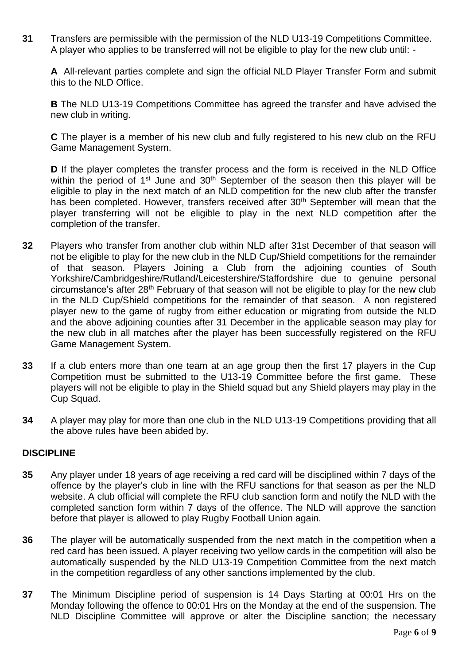**31** Transfers are permissible with the permission of the NLD U13-19 Competitions Committee. A player who applies to be transferred will not be eligible to play for the new club until: -

**A** All-relevant parties complete and sign the official NLD Player Transfer Form and submit this to the NLD Office.

**B** The NLD U13-19 Competitions Committee has agreed the transfer and have advised the new club in writing.

**C** The player is a member of his new club and fully registered to his new club on the RFU Game Management System.

**D** If the player completes the transfer process and the form is received in the NLD Office within the period of  $1<sup>st</sup>$  June and  $30<sup>th</sup>$  September of the season then this player will be eligible to play in the next match of an NLD competition for the new club after the transfer has been completed. However, transfers received after 30<sup>th</sup> September will mean that the player transferring will not be eligible to play in the next NLD competition after the completion of the transfer.

- **32** Players who transfer from another club within NLD after 31st December of that season will not be eligible to play for the new club in the NLD Cup/Shield competitions for the remainder of that season. Players Joining a Club from the adjoining counties of South Yorkshire/Cambridgeshire/Rutland/Leicestershire/Staffordshire due to genuine personal circumstance's after 28th February of that season will not be eligible to play for the new club in the NLD Cup/Shield competitions for the remainder of that season. A non registered player new to the game of rugby from either education or migrating from outside the NLD and the above adjoining counties after 31 December in the applicable season may play for the new club in all matches after the player has been successfully registered on the RFU Game Management System.
- **33** If a club enters more than one team at an age group then the first 17 players in the Cup Competition must be submitted to the U13-19 Committee before the first game. These players will not be eligible to play in the Shield squad but any Shield players may play in the Cup Squad.
- **34** A player may play for more than one club in the NLD U13-19 Competitions providing that all the above rules have been abided by.

### **DISCIPLINE**

- **35** Any player under 18 years of age receiving a red card will be disciplined within 7 days of the offence by the player's club in line with the RFU sanctions for that season as per the NLD website. A club official will complete the RFU club sanction form and notify the NLD with the completed sanction form within 7 days of the offence. The NLD will approve the sanction before that player is allowed to play Rugby Football Union again.
- **36** The player will be automatically suspended from the next match in the competition when a red card has been issued. A player receiving two yellow cards in the competition will also be automatically suspended by the NLD U13-19 Competition Committee from the next match in the competition regardless of any other sanctions implemented by the club.
- **37** The Minimum Discipline period of suspension is 14 Days Starting at 00:01 Hrs on the Monday following the offence to 00:01 Hrs on the Monday at the end of the suspension. The NLD Discipline Committee will approve or alter the Discipline sanction; the necessary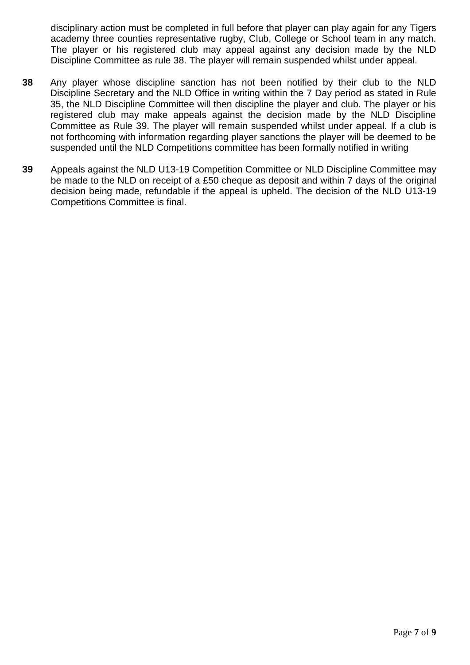disciplinary action must be completed in full before that player can play again for any Tigers academy three counties representative rugby, Club, College or School team in any match. The player or his registered club may appeal against any decision made by the NLD Discipline Committee as rule 38. The player will remain suspended whilst under appeal.

- **38** Any player whose discipline sanction has not been notified by their club to the NLD Discipline Secretary and the NLD Office in writing within the 7 Day period as stated in Rule 35, the NLD Discipline Committee will then discipline the player and club. The player or his registered club may make appeals against the decision made by the NLD Discipline Committee as Rule 39. The player will remain suspended whilst under appeal. If a club is not forthcoming with information regarding player sanctions the player will be deemed to be suspended until the NLD Competitions committee has been formally notified in writing
- **39** Appeals against the NLD U13-19 Competition Committee or NLD Discipline Committee may be made to the NLD on receipt of a £50 cheque as deposit and within 7 days of the original decision being made, refundable if the appeal is upheld. The decision of the NLD U13-19 Competitions Committee is final.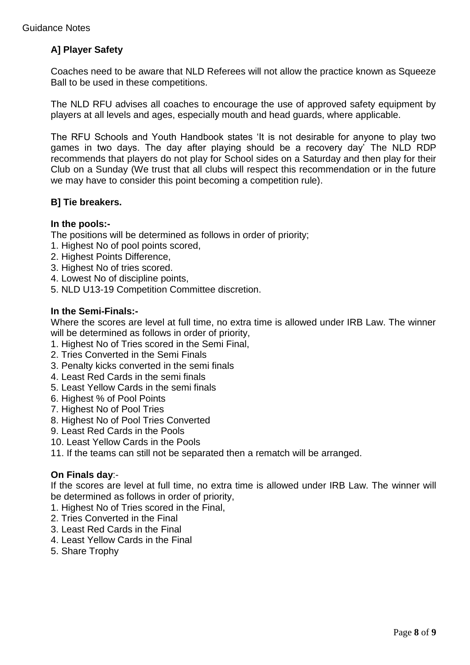## **A] Player Safety**

Coaches need to be aware that NLD Referees will not allow the practice known as Squeeze Ball to be used in these competitions.

The NLD RFU advises all coaches to encourage the use of approved safety equipment by players at all levels and ages, especially mouth and head guards, where applicable.

The RFU Schools and Youth Handbook states 'It is not desirable for anyone to play two games in two days. The day after playing should be a recovery day' The NLD RDP recommends that players do not play for School sides on a Saturday and then play for their Club on a Sunday (We trust that all clubs will respect this recommendation or in the future we may have to consider this point becoming a competition rule).

### **B] Tie breakers.**

### **In the pools:-**

The positions will be determined as follows in order of priority;

- 1. Highest No of pool points scored,
- 2. Highest Points Difference,
- 3. Highest No of tries scored.
- 4. Lowest No of discipline points,
- 5. NLD U13-19 Competition Committee discretion.

#### **In the Semi-Finals:-**

Where the scores are level at full time, no extra time is allowed under IRB Law. The winner will be determined as follows in order of priority,

- 1. Highest No of Tries scored in the Semi Final,
- 2. Tries Converted in the Semi Finals
- 3. Penalty kicks converted in the semi finals
- 4. Least Red Cards in the semi finals
- 5. Least Yellow Cards in the semi finals
- 6. Highest % of Pool Points
- 7. Highest No of Pool Tries
- 8. Highest No of Pool Tries Converted
- 9. Least Red Cards in the Pools
- 10. Least Yellow Cards in the Pools
- 11. If the teams can still not be separated then a rematch will be arranged.

### **On Finals day**:-

If the scores are level at full time, no extra time is allowed under IRB Law. The winner will be determined as follows in order of priority,

- 1. Highest No of Tries scored in the Final,
- 2. Tries Converted in the Final
- 3. Least Red Cards in the Final
- 4. Least Yellow Cards in the Final
- 5. Share Trophy